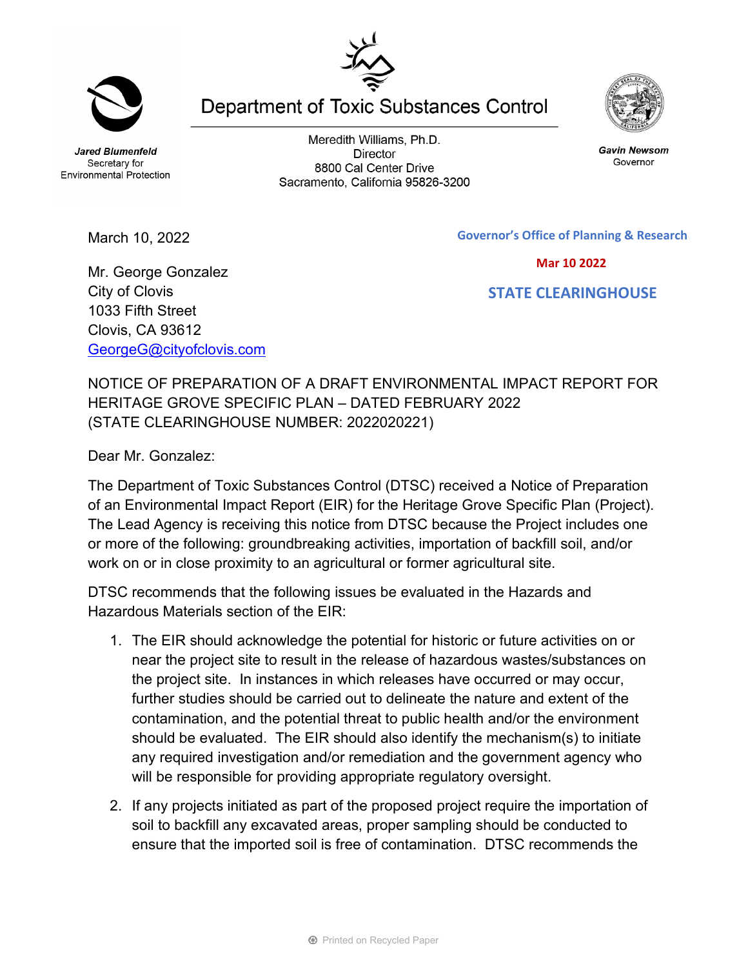**Jared Blumenfeld** Secretary for **Environmental Protection** 

March 10, 2022

Meredith Williams, Ph.D. **Director** 8800 Cal Center Drive Sacramento, California 95826-3200

 **Mar 10 2022**

 **STATE CLEARINGHOUSE**

Mr. George Gonzalez City of Clovis 1033 Fifth Street Clovis, CA 93612 [GeorgeG@cityofclovis.com](mailto:GeorgeG@cityofclovis.com)

NOTICE OF PREPARATION OF A DRAFT ENVIRONMENTAL IMPACT REPORT FOR HERITAGE GROVE SPECIFIC PLAN – DATED FEBRUARY 2022 (STATE CLEARINGHOUSE NUMBER: 2022020221)

Dear Mr. Gonzalez:

The Department of Toxic Substances Control (DTSC) received a Notice of Preparation of an Environmental Impact Report (EIR) for the Heritage Grove Specific Plan (Project). The Lead Agency is receiving this notice from DTSC because the Project includes one or more of the following: groundbreaking activities, importation of backfill soil, and/or work on or in close proximity to an agricultural or former agricultural site.

DTSC recommends that the following issues be evaluated in the Hazards and Hazardous Materials section of the EIR:

- 1. The EIR should acknowledge the potential for historic or future activities on or near the project site to result in the release of hazardous wastes/substances on the project site. In instances in which releases have occurred or may occur, further studies should be carried out to delineate the nature and extent of the contamination, and the potential threat to public health and/or the environment should be evaluated. The EIR should also identify the mechanism(s) to initiate any required investigation and/or remediation and the government agency who will be responsible for providing appropriate regulatory oversight.
- 2. If any projects initiated as part of the proposed project require the importation of soil to backfill any excavated areas, proper sampling should be conducted to ensure that the imported soil is free of contamination. DTSC recommends the

**Department of Toxic Substances Control** 



**Gavin Newsom** 

Governor





**Governor's Office of Planning & Research**